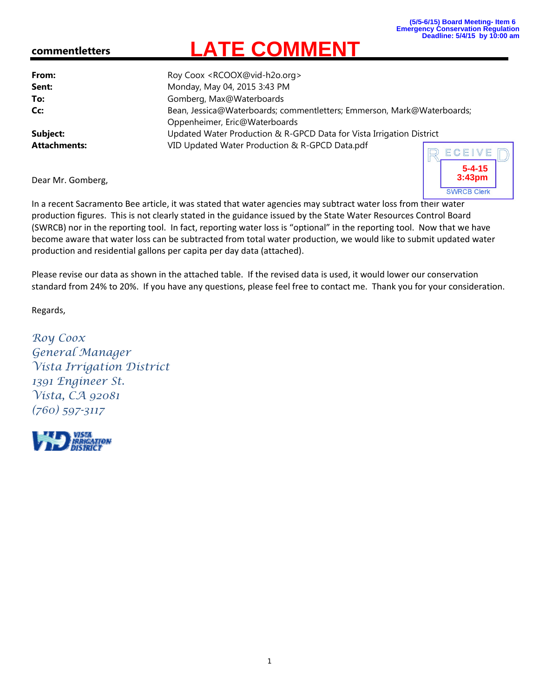**5-4-15 3:43pm**

## **commentletters**

| From:               | Roy Coox <rcoox@vid-h2o.org></rcoox@vid-h2o.org>                                                        |  |  |  |  |  |  |
|---------------------|---------------------------------------------------------------------------------------------------------|--|--|--|--|--|--|
| Sent:               | Monday, May 04, 2015 3:43 PM                                                                            |  |  |  |  |  |  |
| To:                 | Gomberg, Max@Waterboards                                                                                |  |  |  |  |  |  |
| Cc:                 | Bean, Jessica@Waterboards; commentletters; Emmerson, Mark@Waterboards;<br>Oppenheimer, Eric@Waterboards |  |  |  |  |  |  |
| Subject:            | Updated Water Production & R-GPCD Data for Vista Irrigation District                                    |  |  |  |  |  |  |
| <b>Attachments:</b> | VID Updated Water Production & R-GPCD Data.pdf<br>$D$ ECEIVE                                            |  |  |  |  |  |  |

**LATE COMMENT**

Dear Mr. Gomberg,

**SWRCB Clerk** In a recent Sacramento Bee article, it was stated that water agencies may subtract water loss from their water production figures. This is not clearly stated in the guidance issued by the State Water Resources Control Board (SWRCB) nor in the reporting tool. In fact, reporting water loss is "optional" in the reporting tool. Now that we have become aware that water loss can be subtracted from total water production, we would like to submit updated water production and residential gallons per capita per day data (attached).

Please revise our data as shown in the attached table. If the revised data is used, it would lower our conservation standard from 24% to 20%. If you have any questions, please feel free to contact me. Thank you for your consideration.

Regards,

*Roy Coox General Manager Vista Irrigation District 1391 Engineer St. Vista, CA 92081 (760) 597-3117*